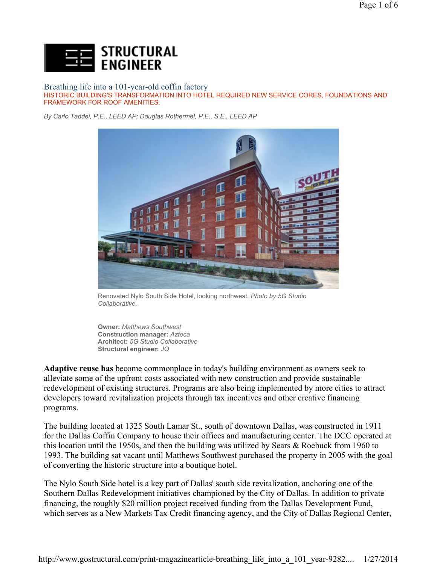

Breathing life into a 101-year-old coffin factory HISTORIC BUILDING'S TRANSFORMATION INTO HOTEL REQUIRED NEW SERVICE CORES, FOUNDATIONS AND FRAMEWORK FOR ROOF AMENITIES.

*By Carlo Taddei, P.E., LEED AP; Douglas Rothermel, P.E., S.E., LEED AP*



Renovated Nylo South Side Hotel, looking northwest. *Photo by 5G Studio Collaborative.*

**Owner:** *Matthews Southwest*  **Construction manager:** *Azteca*  **Architect:** *5G Studio Collaborative* **Structural engineer:** *JQ*

**Adaptive reuse has** become commonplace in today's building environment as owners seek to alleviate some of the upfront costs associated with new construction and provide sustainable redevelopment of existing structures. Programs are also being implemented by more cities to attract developers toward revitalization projects through tax incentives and other creative financing programs.

The building located at 1325 South Lamar St., south of downtown Dallas, was constructed in 1911 for the Dallas Coffin Company to house their offices and manufacturing center. The DCC operated at this location until the 1950s, and then the building was utilized by Sears & Roebuck from 1960 to 1993. The building sat vacant until Matthews Southwest purchased the property in 2005 with the goal of converting the historic structure into a boutique hotel.

The Nylo South Side hotel is a key part of Dallas' south side revitalization, anchoring one of the Southern Dallas Redevelopment initiatives championed by the City of Dallas. In addition to private financing, the roughly \$20 million project received funding from the Dallas Development Fund, which serves as a New Markets Tax Credit financing agency, and the City of Dallas Regional Center,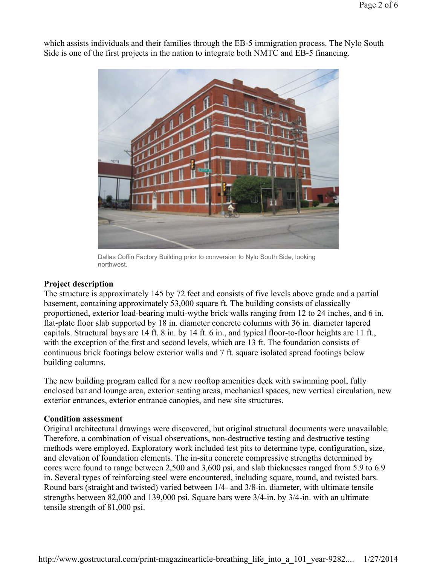

which assists individuals and their families through the EB-5 immigration process. The Nylo South Side is one of the first projects in the nation to integrate both NMTC and EB-5 financing.

Dallas Coffin Factory Building prior to conversion to Nylo South Side, looking northwest.

## **Project description**

The structure is approximately 145 by 72 feet and consists of five levels above grade and a partial basement, containing approximately 53,000 square ft. The building consists of classically proportioned, exterior load-bearing multi-wythe brick walls ranging from 12 to 24 inches, and 6 in. flat-plate floor slab supported by 18 in. diameter concrete columns with 36 in. diameter tapered capitals. Structural bays are 14 ft. 8 in. by 14 ft. 6 in., and typical floor-to-floor heights are 11 ft., with the exception of the first and second levels, which are 13 ft. The foundation consists of continuous brick footings below exterior walls and 7 ft. square isolated spread footings below building columns.

The new building program called for a new rooftop amenities deck with swimming pool, fully enclosed bar and lounge area, exterior seating areas, mechanical spaces, new vertical circulation, new exterior entrances, exterior entrance canopies, and new site structures.

## **Condition assessment**

Original architectural drawings were discovered, but original structural documents were unavailable. Therefore, a combination of visual observations, non-destructive testing and destructive testing methods were employed. Exploratory work included test pits to determine type, configuration, size, and elevation of foundation elements. The in-situ concrete compressive strengths determined by cores were found to range between 2,500 and 3,600 psi, and slab thicknesses ranged from 5.9 to 6.9 in. Several types of reinforcing steel were encountered, including square, round, and twisted bars. Round bars (straight and twisted) varied between 1/4- and 3/8-in. diameter, with ultimate tensile strengths between 82,000 and 139,000 psi. Square bars were 3/4-in. by 3/4-in. with an ultimate tensile strength of 81,000 psi.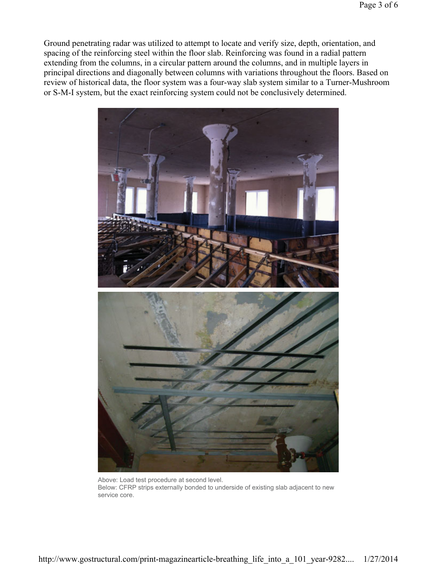Ground penetrating radar was utilized to attempt to locate and verify size, depth, orientation, and spacing of the reinforcing steel within the floor slab. Reinforcing was found in a radial pattern extending from the columns, in a circular pattern around the columns, and in multiple layers in principal directions and diagonally between columns with variations throughout the floors. Based on review of historical data, the floor system was a four-way slab system similar to a Turner-Mushroom or S-M-I system, but the exact reinforcing system could not be conclusively determined.



Above: Load test procedure at second level. Below: CFRP strips externally bonded to underside of existing slab adjacent to new service core.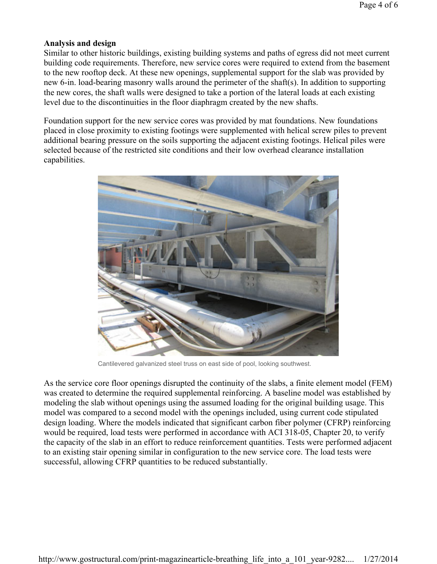## **Analysis and design**

Similar to other historic buildings, existing building systems and paths of egress did not meet current building code requirements. Therefore, new service cores were required to extend from the basement to the new rooftop deck. At these new openings, supplemental support for the slab was provided by new 6-in. load-bearing masonry walls around the perimeter of the shaft(s). In addition to supporting the new cores, the shaft walls were designed to take a portion of the lateral loads at each existing level due to the discontinuities in the floor diaphragm created by the new shafts.

Foundation support for the new service cores was provided by mat foundations. New foundations placed in close proximity to existing footings were supplemented with helical screw piles to prevent additional bearing pressure on the soils supporting the adjacent existing footings. Helical piles were selected because of the restricted site conditions and their low overhead clearance installation capabilities.



Cantilevered galvanized steel truss on east side of pool, looking southwest.

As the service core floor openings disrupted the continuity of the slabs, a finite element model (FEM) was created to determine the required supplemental reinforcing. A baseline model was established by modeling the slab without openings using the assumed loading for the original building usage. This model was compared to a second model with the openings included, using current code stipulated design loading. Where the models indicated that significant carbon fiber polymer (CFRP) reinforcing would be required, load tests were performed in accordance with ACI 318-05, Chapter 20, to verify the capacity of the slab in an effort to reduce reinforcement quantities. Tests were performed adjacent to an existing stair opening similar in configuration to the new service core. The load tests were successful, allowing CFRP quantities to be reduced substantially.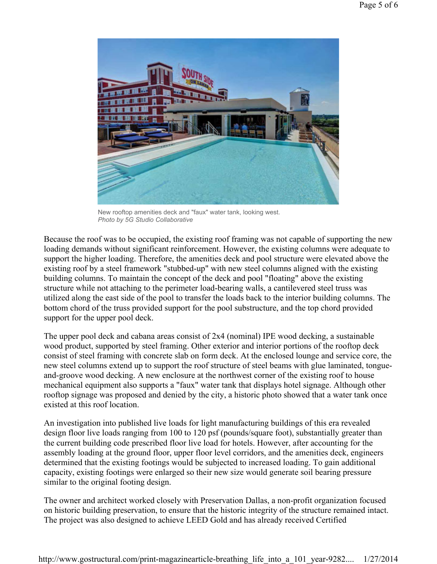

New rooftop amenities deck and "faux" water tank, looking west. *Photo by 5G Studio Collaborative*

Because the roof was to be occupied, the existing roof framing was not capable of supporting the new loading demands without significant reinforcement. However, the existing columns were adequate to support the higher loading. Therefore, the amenities deck and pool structure were elevated above the existing roof by a steel framework "stubbed-up" with new steel columns aligned with the existing building columns. To maintain the concept of the deck and pool "floating" above the existing structure while not attaching to the perimeter load-bearing walls, a cantilevered steel truss was utilized along the east side of the pool to transfer the loads back to the interior building columns. The bottom chord of the truss provided support for the pool substructure, and the top chord provided support for the upper pool deck.

The upper pool deck and cabana areas consist of 2x4 (nominal) IPE wood decking, a sustainable wood product, supported by steel framing. Other exterior and interior portions of the rooftop deck consist of steel framing with concrete slab on form deck. At the enclosed lounge and service core, the new steel columns extend up to support the roof structure of steel beams with glue laminated, tongueand-groove wood decking. A new enclosure at the northwest corner of the existing roof to house mechanical equipment also supports a "faux" water tank that displays hotel signage. Although other rooftop signage was proposed and denied by the city, a historic photo showed that a water tank once existed at this roof location.

An investigation into published live loads for light manufacturing buildings of this era revealed design floor live loads ranging from 100 to 120 psf (pounds/square foot), substantially greater than the current building code prescribed floor live load for hotels. However, after accounting for the assembly loading at the ground floor, upper floor level corridors, and the amenities deck, engineers determined that the existing footings would be subjected to increased loading. To gain additional capacity, existing footings were enlarged so their new size would generate soil bearing pressure similar to the original footing design.

The owner and architect worked closely with Preservation Dallas, a non-profit organization focused on historic building preservation, to ensure that the historic integrity of the structure remained intact. The project was also designed to achieve LEED Gold and has already received Certified